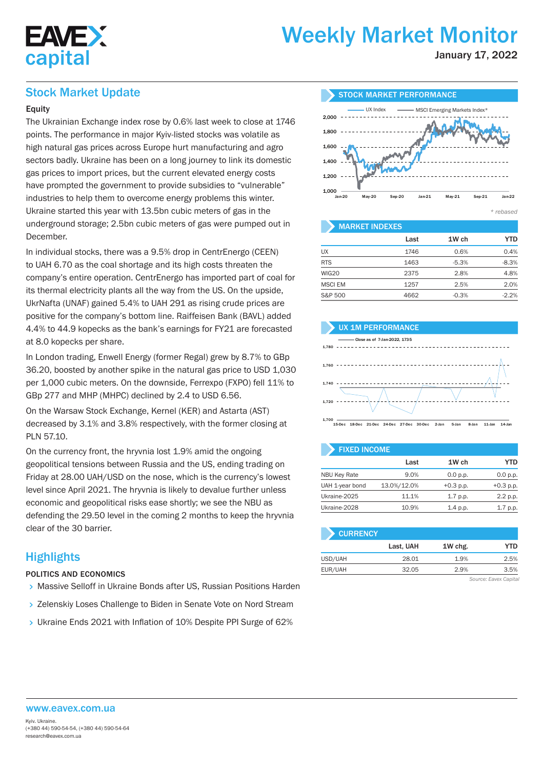

# Weekly Market Monitor

January 17, 2022

### Stock Market Update

#### **Equity**

The Ukrainian Exchange index rose by 0.6% last week to close at 1746 points. The performance in major Kyiv-listed stocks was volatile as high natural gas prices across Europe hurt manufacturing and agro sectors badly. Ukraine has been on a long journey to link its domestic gas prices to import prices, but the current elevated energy costs have prompted the government to provide subsidies to "vulnerable" industries to help them to overcome energy problems this winter. Ukraine started this year with 13.5bn cubic meters of gas in the underground storage; 2.5bn cubic meters of gas were pumped out in December.

In individual stocks, there was a 9.5% drop in CentrEnergo (CEEN) to UAH 6.70 as the coal shortage and its high costs threaten the company's entire operation. CentrEnergo has imported part of coal for its thermal electricity plants all the way from the US. On the upside, UkrNafta (UNAF) gained 5.4% to UAH 291 as rising crude prices are positive for the company's bottom line. Raiffeisen Bank (BAVL) added 4.4% to 44.9 kopecks as the bank's earnings for FY21 are forecasted at 8.0 kopecks per share.

In London trading, Enwell Energy (former Regal) grew by 8.7% to GBp 36.20, boosted by another spike in the natural gas price to USD 1,030 per 1,000 cubic meters. On the downside, Ferrexpo (FXPO) fell 11% to GBp 277 and MHP (MHPC) declined by 2.4 to USD 6.56.

On the Warsaw Stock Exchange, Kernel (KER) and Astarta (AST) decreased by 3.1% and 3.8% respectively, with the former closing at PLN 57.10.

On the currency front, the hryvnia lost 1.9% amid the ongoing geopolitical tensions between Russia and the US, ending trading on Friday at 28.00 UAH/USD on the nose, which is the currency's lowest level since April 2021. The hryvnia is likely to devalue further unless economic and geopolitical risks ease shortly; we see the NBU as defending the 29.50 level in the coming 2 months to keep the hryvnia clear of the 30 barrier.

## **Highlights**

#### POLITICS AND ECONOMICS

- Massive Selloff in Ukraine Bonds after US, Russian Positions Harden
- > Zelenskiy Loses Challenge to Biden in Senate Vote on Nord Stream
- Ukraine Ends 2021 with Inflation of 10% Despite PPI Surge of 62%



#### **MARKET INDEXES**

|                | Last | 1W ch   | <b>YTD</b> |
|----------------|------|---------|------------|
| UX             | 1746 | 0.6%    | 0.4%       |
| <b>RTS</b>     | 1463 | $-5.3%$ | $-8.3%$    |
| <b>WIG20</b>   | 2375 | 2.8%    | 4.8%       |
| <b>MSCI EM</b> | 1257 | 2.5%    | 2.0%       |
| S&P 500        | 4662 | $-0.3%$ | $-2.2%$    |



| <b>FIXED INCOME</b> |             |             |             |  |  |  |  |  |
|---------------------|-------------|-------------|-------------|--|--|--|--|--|
|                     | Last        | 1W ch       | YTD         |  |  |  |  |  |
| <b>NBU Key Rate</b> | 9.0%        | 0.0 p.p.    | 0.0 p.p.    |  |  |  |  |  |
| UAH 1-year bond     | 13.0%/12.0% | $+0.3$ p.p. | $+0.3$ p.p. |  |  |  |  |  |
| Ukraine-2025        | 11.1%       | 1.7 p.p.    | 2.2 p.p.    |  |  |  |  |  |

Ukraine-2028 10.9% 1.4 p.p. 1.7 p.p.

| <b>CURRENCY</b> |           |         |      |
|-----------------|-----------|---------|------|
|                 | Last, UAH | 1W chg. | YTD  |
| USD/UAH         | 28.01     | 1.9%    | 2.5% |
| EUR/UAH         | 32.05     | 2.9%    | 3.5% |

*Source: Eavex Capital*

#### www.eavex.com.ua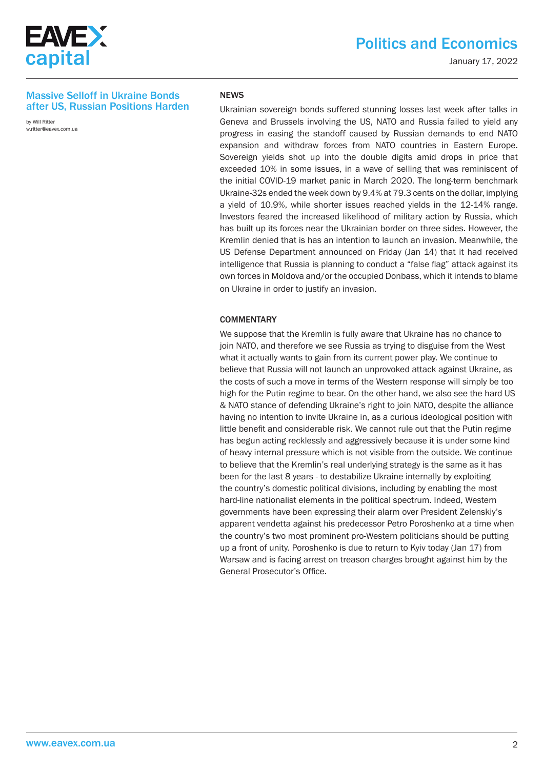

# Politics and Economics

January 17, 2022

#### Massive Selloff in Ukraine Bonds after US, Russian Positions Harden

by Will Ritter w.ritter@eavex.com.ua

#### NEWS

Ukrainian sovereign bonds suffered stunning losses last week after talks in Geneva and Brussels involving the US, NATO and Russia failed to yield any progress in easing the standoff caused by Russian demands to end NATO expansion and withdraw forces from NATO countries in Eastern Europe. Sovereign yields shot up into the double digits amid drops in price that exceeded 10% in some issues, in a wave of selling that was reminiscent of the initial COVID-19 market panic in March 2020. The long-term benchmark Ukraine-32s ended the week down by 9.4% at 79.3 cents on the dollar, implying a yield of 10.9%, while shorter issues reached yields in the 12-14% range. Investors feared the increased likelihood of military action by Russia, which has built up its forces near the Ukrainian border on three sides. However, the Kremlin denied that is has an intention to launch an invasion. Meanwhile, the US Defense Department announced on Friday (Jan 14) that it had received intelligence that Russia is planning to conduct a "false flag" attack against its own forces in Moldova and/or the occupied Donbass, which it intends to blame on Ukraine in order to justify an invasion.

#### **COMMENTARY**

We suppose that the Kremlin is fully aware that Ukraine has no chance to join NATO, and therefore we see Russia as trying to disguise from the West what it actually wants to gain from its current power play. We continue to believe that Russia will not launch an unprovoked attack against Ukraine, as the costs of such a move in terms of the Western response will simply be too high for the Putin regime to bear. On the other hand, we also see the hard US & NATO stance of defending Ukraine's right to join NATO, despite the alliance having no intention to invite Ukraine in, as a curious ideological position with little benefit and considerable risk. We cannot rule out that the Putin regime has begun acting recklessly and aggressively because it is under some kind of heavy internal pressure which is not visible from the outside. We continue to believe that the Kremlin's real underlying strategy is the same as it has been for the last 8 years - to destabilize Ukraine internally by exploiting the country's domestic political divisions, including by enabling the most hard-line nationalist elements in the political spectrum. Indeed, Western governments have been expressing their alarm over President Zelenskiy's apparent vendetta against his predecessor Petro Poroshenko at a time when the country's two most prominent pro-Western politicians should be putting up a front of unity. Poroshenko is due to return to Kyiv today (Jan 17) from Warsaw and is facing arrest on treason charges brought against him by the General Prosecutor's Office.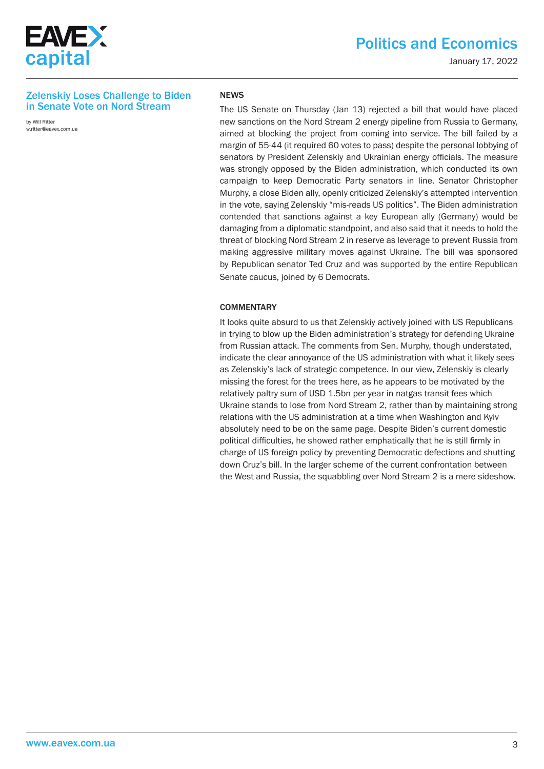

# Politics and Economics

January 17, 2022

#### Zelenskiy Loses Challenge to Biden in Senate Vote on Nord Stream

by Will Ritter w.ritter@eavex.com.ua

#### NEWS

The US Senate on Thursday (Jan 13) rejected a bill that would have placed new sanctions on the Nord Stream 2 energy pipeline from Russia to Germany, aimed at blocking the project from coming into service. The bill failed by a margin of 55-44 (it required 60 votes to pass) despite the personal lobbying of senators by President Zelenskiy and Ukrainian energy officials. The measure was strongly opposed by the Biden administration, which conducted its own campaign to keep Democratic Party senators in line. Senator Christopher Murphy, a close Biden ally, openly criticized Zelenskiy's attempted intervention in the vote, saying Zelenskiy "mis-reads US politics". The Biden administration contended that sanctions against a key European ally (Germany) would be damaging from a diplomatic standpoint, and also said that it needs to hold the threat of blocking Nord Stream 2 in reserve as leverage to prevent Russia from making aggressive military moves against Ukraine. The bill was sponsored by Republican senator Ted Cruz and was supported by the entire Republican Senate caucus, joined by 6 Democrats.

#### **COMMENTARY**

It looks quite absurd to us that Zelenskiy actively joined with US Republicans in trying to blow up the Biden administration's strategy for defending Ukraine from Russian attack. The comments from Sen. Murphy, though understated, indicate the clear annoyance of the US administration with what it likely sees as Zelenskiy's lack of strategic competence. In our view, Zelenskiy is clearly missing the forest for the trees here, as he appears to be motivated by the relatively paltry sum of USD 1.5bn per year in natgas transit fees which Ukraine stands to lose from Nord Stream 2, rather than by maintaining strong relations with the US administration at a time when Washington and Kyiv absolutely need to be on the same page. Despite Biden's current domestic political difficulties, he showed rather emphatically that he is still firmly in charge of US foreign policy by preventing Democratic defections and shutting down Cruz's bill. In the larger scheme of the current confrontation between the West and Russia, the squabbling over Nord Stream 2 is a mere sideshow.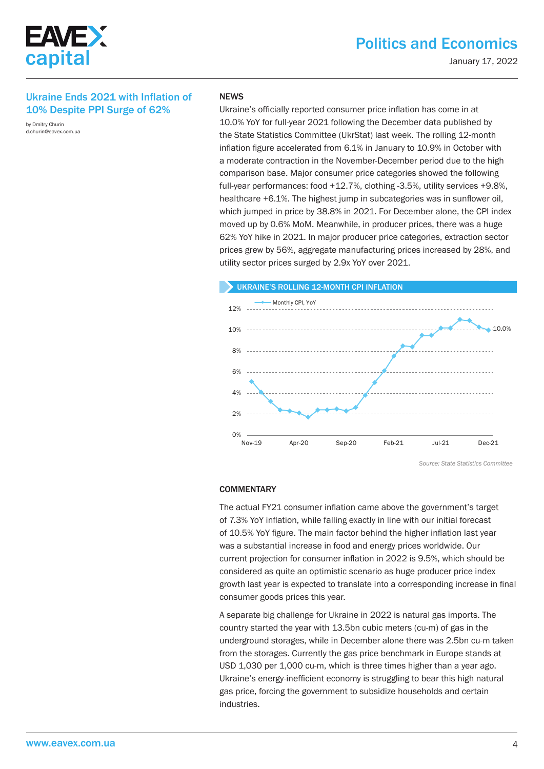

### Ukraine Ends 2021 with Inflation of 10% Despite PPI Surge of 62%

by Dmitry Churin d.churin@eavex.com.ua

#### **NEWS**

Ukraine's officially reported consumer price inflation has come in at 10.0% YoY for full-year 2021 following the December data published by the State Statistics Committee (UkrStat) last week. The rolling 12-month inflation figure accelerated from 6.1% in January to 10.9% in October with a moderate contraction in the November-December period due to the high comparison base. Major consumer price categories showed the following full-year performances: food +12.7%, clothing -3.5%, utility services +9.8%, healthcare +6.1%. The highest jump in subcategories was in sunflower oil, which jumped in price by 38.8% in 2021. For December alone, the CPI index moved up by 0.6% MoM. Meanwhile, in producer prices, there was a huge 62% YoY hike in 2021. In major producer price categories, extraction sector prices grew by 56%, aggregate manufacturing prices increased by 28%, and utility sector prices surged by 2.9х YoY over 2021.



*Source: State Statistics Committee*

#### **COMMENTARY**

The actual FY21 consumer inflation came above the government's target of 7.3% YoY inflation, while falling exactly in line with our initial forecast of 10.5% YoY figure. The main factor behind the higher inflation last year was a substantial increase in food and energy prices worldwide. Our current projection for consumer inflation in 2022 is 9.5%, which should be considered as quite an optimistic scenario as huge producer price index growth last year is expected to translate into a corresponding increase in final consumer goods prices this year.

A separate big challenge for Ukraine in 2022 is natural gas imports. The country started the year with 13.5bn cubic meters (cu-m) of gas in the underground storages, while in December alone there was 2.5bn cu-m taken from the storages. Currently the gas price benchmark in Europe stands at USD 1,030 per 1,000 cu-m, which is three times higher than a year ago. Ukraine's energy-inefficient economy is struggling to bear this high natural gas price, forcing the government to subsidize households and certain industries.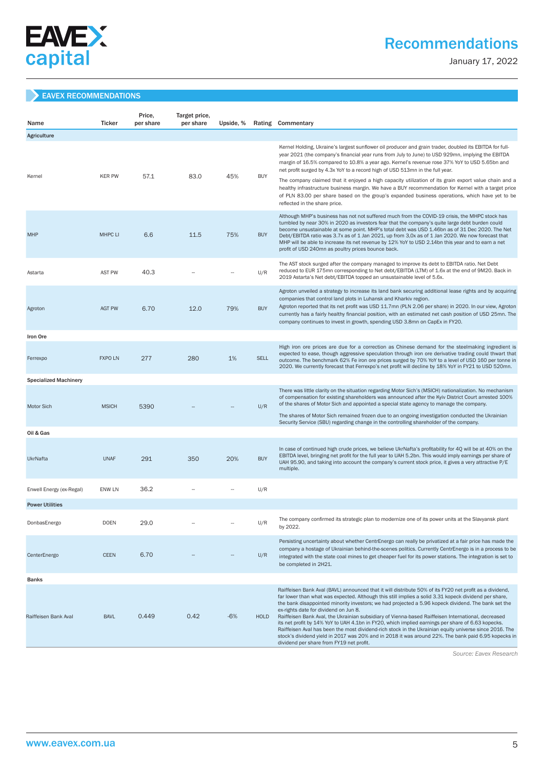

# Recommendations

January 17, 2022

#### EAVEX RECOMMENDATIONS

| Name                         | <b>Ticker</b>  | Price,<br>per share | Target price,<br>per share | Upside, % |             | Rating Commentary                                                                                                                                                                                                                                                                                                                                                                                                                                                                                                                                                                                                                                                                                                                                                                                                                        |
|------------------------------|----------------|---------------------|----------------------------|-----------|-------------|------------------------------------------------------------------------------------------------------------------------------------------------------------------------------------------------------------------------------------------------------------------------------------------------------------------------------------------------------------------------------------------------------------------------------------------------------------------------------------------------------------------------------------------------------------------------------------------------------------------------------------------------------------------------------------------------------------------------------------------------------------------------------------------------------------------------------------------|
| Agriculture                  |                |                     |                            |           |             |                                                                                                                                                                                                                                                                                                                                                                                                                                                                                                                                                                                                                                                                                                                                                                                                                                          |
| Kernel                       | <b>KER PW</b>  | 57.1                | 83.0                       | 45%       | <b>BUY</b>  | Kernel Holding, Ukraine's largest sunflower oil producer and grain trader, doubled its EBITDA for full-<br>year 2021 (the company's financial year runs from July to June) to USD 929mn, implying the EBITDA<br>margin of 16.5% compared to 10.8% a year ago. Kernel's revenue rose 37% YoY to USD 5.65bn and<br>net profit surged by 4.3x YoY to a record high of USD 513mn in the full year.                                                                                                                                                                                                                                                                                                                                                                                                                                           |
|                              |                |                     |                            |           |             | The company claimed that it enjoyed a high capacity utilization of its grain export value chain and a<br>healthy infrastructure business margin. We have a BUY recommendation for Kernel with a target price<br>of PLN 83.00 per share based on the group's expanded business operations, which have yet to be<br>reflected in the share price.                                                                                                                                                                                                                                                                                                                                                                                                                                                                                          |
| <b>MHP</b>                   | <b>MHPC LI</b> | 6.6                 | 11.5                       | 75%       | <b>BUY</b>  | Although MHP's business has not not suffered much from the COVID-19 crisis, the MHPC stock has<br>tumbled by near 30% in 2020 as investors fear that the company's quite large debt burden could<br>become unsustainable at some point. MHP's total debt was USD 1.46bn as of 31 Dec 2020. The Net<br>Debt/EBITDA ratio was 3.7x as of 1 Jan 2021, up from 3,0x as of 1 Jan 2020. We now forecast that<br>MHP will be able to increase its net revenue by 12% YoY to USD 2.14bn this year and to earn a net<br>profit of USD 240mn as poultry prices bounce back.                                                                                                                                                                                                                                                                        |
| Astarta                      | <b>AST PW</b>  | 40.3                |                            |           | U/R         | The AST stock surged after the company managed to improve its debt to EBITDA ratio. Net Debt<br>reduced to EUR 175mn corresponding to Net debt/EBITDA (LTM) of 1.6x at the end of 9M20. Back in<br>2019 Astarta's Net debt/EBITDA topped an unsustainable level of 5.6x.                                                                                                                                                                                                                                                                                                                                                                                                                                                                                                                                                                 |
| Agroton                      | <b>AGT PW</b>  | 6.70                | 12.0                       | 79%       | <b>BUY</b>  | Agroton unveiled a strategy to increase its land bank securing additional lease rights and by acquiring<br>companies that control land plots in Luhansk and Kharkiv region.<br>Agroton reported that its net profit was USD 11.7mn (PLN 2.06 per share) in 2020. In our view, Agroton<br>currently has a fairly healthy financial position, with an estimated net cash position of USD 25mn. The<br>company continues to invest in growth, spending USD 3.8mn on CapEx in FY20.                                                                                                                                                                                                                                                                                                                                                          |
| Iron Ore                     |                |                     |                            |           |             |                                                                                                                                                                                                                                                                                                                                                                                                                                                                                                                                                                                                                                                                                                                                                                                                                                          |
| Ferrexpo                     | <b>FXPO LN</b> | 277                 | 280                        | 1%        | <b>SELL</b> | High iron ore prices are due for a correction as Chinese demand for the steelmaking ingredient is<br>expected to ease, though aggressive speculation through iron ore derivative trading could thwart that<br>outcome. The benchmark 62% Fe iron ore prices surged by 70% YoY to a level of USD 160 per tonne in<br>2020. We currently forecast that Ferrexpo's net profit will decline by 18% YoY in FY21 to USD 520mn.                                                                                                                                                                                                                                                                                                                                                                                                                 |
| <b>Specialized Machinery</b> |                |                     |                            |           |             |                                                                                                                                                                                                                                                                                                                                                                                                                                                                                                                                                                                                                                                                                                                                                                                                                                          |
| Motor Sich                   | <b>MSICH</b>   | 5390                |                            |           | U/R         | There was little clarity on the situation regarding Motor Sich's (MSICH) nationalization. No mechanism<br>of compensation for existing shareholders was announced after the Kyiv District Court arrested 100%<br>of the shares of Motor Sich and appointed a special state agency to manage the company.<br>The shares of Motor Sich remained frozen due to an ongoing investigation conducted the Ukrainian<br>Security Service (SBU) regarding change in the controlling shareholder of the company.                                                                                                                                                                                                                                                                                                                                   |
| Oil & Gas                    |                |                     |                            |           |             |                                                                                                                                                                                                                                                                                                                                                                                                                                                                                                                                                                                                                                                                                                                                                                                                                                          |
| <b>UkrNafta</b>              | <b>UNAF</b>    | 291                 | 350                        | 20%       | <b>BUY</b>  | In case of continued high crude prices, we believe UkrNafta's profitability for 4Q will be at 40% on the<br>EBITDA level, bringing net profit for the full year to UAH 5.2bn. This would imply earnings per share of<br>UAH 95.90, and taking into account the company's current stock price, it gives a very attractive P/E<br>multiple.                                                                                                                                                                                                                                                                                                                                                                                                                                                                                                |
| Enwell Energy (ex-Regal)     | <b>ENW LN</b>  | 36.2                |                            |           | U/R         |                                                                                                                                                                                                                                                                                                                                                                                                                                                                                                                                                                                                                                                                                                                                                                                                                                          |
| <b>Power Utilities</b>       |                |                     |                            |           |             |                                                                                                                                                                                                                                                                                                                                                                                                                                                                                                                                                                                                                                                                                                                                                                                                                                          |
| DonbasEnergo                 | <b>DOEN</b>    | 29.0                |                            |           | U/R         | The company confirmed its strategic plan to modernize one of its power units at the Slavyansk plant<br>by 2022.                                                                                                                                                                                                                                                                                                                                                                                                                                                                                                                                                                                                                                                                                                                          |
| CenterEnergo                 | <b>CEEN</b>    | 6.70                |                            |           | U/R         | Persisting uncertainty about whether CentrEnergo can really be privatized at a fair price has made the<br>company a hostage of Ukrainian behind-the-scenes politics. Currently CentrEnergo is in a process to be<br>integrated with the state coal mines to get cheaper fuel for its power stations. The integration is set to<br>be completed in 2H21.                                                                                                                                                                                                                                                                                                                                                                                                                                                                                  |
| <b>Banks</b>                 |                |                     |                            |           |             |                                                                                                                                                                                                                                                                                                                                                                                                                                                                                                                                                                                                                                                                                                                                                                                                                                          |
| Raiffeisen Bank Aval         | <b>BAVL</b>    | 0.449               | 0.42                       | $-6%$     | <b>HOLD</b> | Raiffeisen Bank Aval (BAVL) announced that it will distribute 50% of its FY20 net profit as a dividend,<br>far lower than what was expected. Although this still implies a solid 3.31 kopeck dividend per share,<br>the bank disappointed minority investors; we had projected a 5.96 kopeck dividend. The bank set the<br>ex-rights date for dividend on Jun 8.<br>Raiffeisen Bank Aval, the Ukrainian subsidiary of Vienna-based Raiffeisen International, decreased<br>its net profit by 14% YoY to UAH 4.1bn in FY20, which implied earnings per share of 6.63 kopecks.<br>Raiffeisen Aval has been the most dividend-rich stock in the Ukrainian equity universe since 2016. The<br>stock's dividend yield in 2017 was 20% and in 2018 it was around 22%. The bank paid 6.95 kopecks in<br>dividend per share from FY19 net profit. |

 *Source: Eavex Research*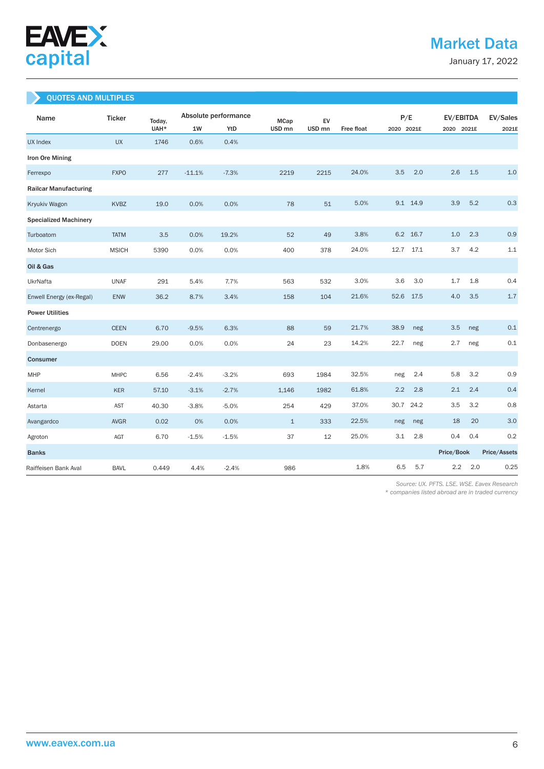

January 17, 2022

# QUOTES AND MULTIPLES

| Name                         | <b>Ticker</b> | Today, |          | Absolute performance | <b>MCap</b>       | EV                |                   | P/E          | EV/EBITDA  | EV/Sales     |
|------------------------------|---------------|--------|----------|----------------------|-------------------|-------------------|-------------------|--------------|------------|--------------|
|                              |               | UAH*   | 1W       | YtD                  | USD <sub>mn</sub> | USD <sub>mn</sub> | <b>Free float</b> | 2020 2021E   | 2020 2021E | 2021E        |
| UX Index                     | <b>UX</b>     | 1746   | 0.6%     | 0.4%                 |                   |                   |                   |              |            |              |
| Iron Ore Mining              |               |        |          |                      |                   |                   |                   |              |            |              |
| Ferrexpo                     | <b>FXPO</b>   | 277    | $-11.1%$ | $-7.3%$              | 2219              | 2215              | 24.0%             | 3.5          | 2.0<br>2.6 | 1.5<br>1.0   |
| <b>Railcar Manufacturing</b> |               |        |          |                      |                   |                   |                   |              |            |              |
| Kryukiv Wagon                | <b>KVBZ</b>   | 19.0   | 0.0%     | 0.0%                 | 78                | 51                | 5.0%              | 9.1 14.9     | 3.9        | 5.2<br>0.3   |
| <b>Specialized Machinery</b> |               |        |          |                      |                   |                   |                   |              |            |              |
| Turboatom                    | <b>TATM</b>   | 3.5    | 0.0%     | 19.2%                | 52                | 49                | 3.8%              | 6.2<br>16.7  | 1.0        | 0.9<br>2.3   |
| Motor Sich                   | <b>MSICH</b>  | 5390   | 0.0%     | 0.0%                 | 400               | 378               | 24.0%             | 12.7<br>17.1 | 3.7        | 4.2<br>1.1   |
| Oil & Gas                    |               |        |          |                      |                   |                   |                   |              |            |              |
| UkrNafta                     | <b>UNAF</b>   | 291    | 5.4%     | 7.7%                 | 563               | 532               | 3.0%              | 3.6          | 3.0<br>1.7 | 1.8<br>0.4   |
| Enwell Energy (ex-Regal)     | <b>ENW</b>    | 36.2   | 8.7%     | 3.4%                 | 158               | 104               | 21.6%             | 52.6<br>17.5 | 4.0        | 1.7<br>3.5   |
| <b>Power Utilities</b>       |               |        |          |                      |                   |                   |                   |              |            |              |
| Centrenergo                  | <b>CEEN</b>   | 6.70   | $-9.5%$  | 6.3%                 | 88                | 59                | 21.7%             | 38.9         | neg<br>3.5 | 0.1<br>neg   |
| Donbasenergo                 | <b>DOEN</b>   | 29.00  | 0.0%     | 0.0%                 | 24                | 23                | 14.2%             | 22.7         | neg<br>2.7 | 0.1<br>neg   |
| <b>Consumer</b>              |               |        |          |                      |                   |                   |                   |              |            |              |
| MHP                          | <b>MHPC</b>   | 6.56   | $-2.4%$  | $-3.2%$              | 693               | 1984              | 32.5%             | neg          | 5.8<br>2.4 | 0.9<br>3.2   |
| Kernel                       | <b>KER</b>    | 57.10  | $-3.1%$  | $-2.7%$              | 1,146             | 1982              | 61.8%             | 2.2          | 2.8<br>2.1 | 2.4<br>0.4   |
| Astarta                      | <b>AST</b>    | 40.30  | $-3.8%$  | $-5.0%$              | 254               | 429               | 37.0%             | 30.7<br>24.2 | 3.5        | 0.8<br>3.2   |
| Avangardco                   | <b>AVGR</b>   | 0.02   | 0%       | 0.0%                 | $\mathbf{1}$      | 333               | 22.5%             | neg          | 18<br>neg  | 3.0<br>20    |
| Agroton                      | AGT           | 6.70   | $-1.5%$  | $-1.5%$              | 37                | 12                | 25.0%             | 3.1          | 2.8<br>0.4 | 0.4<br>0.2   |
| <b>Banks</b>                 |               |        |          |                      |                   |                   |                   |              | Price/Book | Price/Assets |
| Raiffeisen Bank Aval         | <b>BAVL</b>   | 0.449  | 4.4%     | $-2.4%$              | 986               |                   | 1.8%              | 6.5          | 5.7<br>2.2 | 2.0<br>0.25  |

 *Source: UX. PFTS. LSE. WSE. Eavex Research* 

*\* companies listed abroad are in traded currency*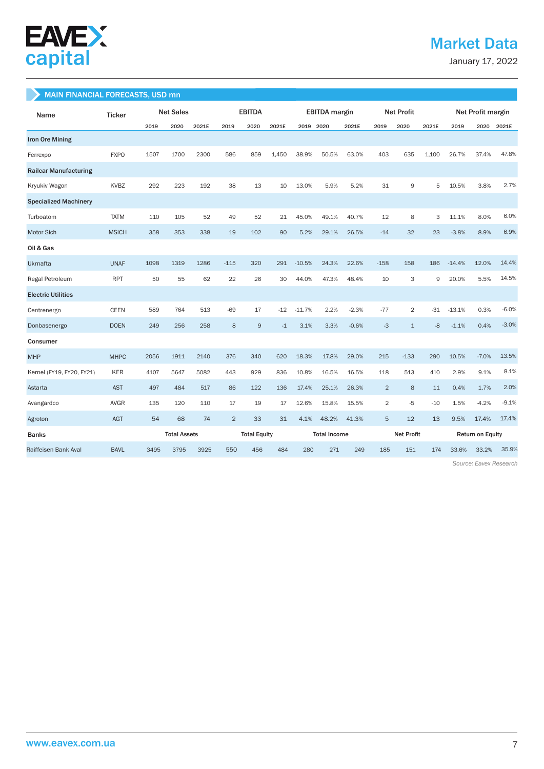

# Market Data

January 17, 2022

#### MAIN FINANCIAL FORECASTS, USD mn

| Name                         | <b>Ticker</b> |      | <b>Net Sales</b>    |       | <b>EBITDA</b>  |                     | <b>EBITDA</b> margin |                     | <b>Net Profit</b> |                   |                | Net Profit margin |                         |          |         |         |
|------------------------------|---------------|------|---------------------|-------|----------------|---------------------|----------------------|---------------------|-------------------|-------------------|----------------|-------------------|-------------------------|----------|---------|---------|
|                              |               | 2019 | 2020                | 2021E | 2019           | 2020                | 2021E                | 2019 2020           |                   | 2021E             | 2019           | 2020              | 2021E                   | 2019     | 2020    | 2021E   |
| <b>Iron Ore Mining</b>       |               |      |                     |       |                |                     |                      |                     |                   |                   |                |                   |                         |          |         |         |
| Ferrexpo                     | <b>FXPO</b>   | 1507 | 1700                | 2300  | 586            | 859                 | 1,450                | 38.9%               | 50.5%             | 63.0%             | 403            | 635               | 1,100                   | 26.7%    | 37.4%   | 47.8%   |
| <b>Railcar Manufacturing</b> |               |      |                     |       |                |                     |                      |                     |                   |                   |                |                   |                         |          |         |         |
| Kryukiv Wagon                | KVBZ          | 292  | 223                 | 192   | 38             | 13                  | 10                   | 13.0%               | 5.9%              | 5.2%              | 31             | 9                 | 5                       | 10.5%    | 3.8%    | 2.7%    |
| <b>Specialized Machinery</b> |               |      |                     |       |                |                     |                      |                     |                   |                   |                |                   |                         |          |         |         |
| Turboatom                    | <b>TATM</b>   | 110  | 105                 | 52    | 49             | 52                  | 21                   | 45.0%               | 49.1%             | 40.7%             | 12             | 8                 | 3                       | 11.1%    | 8.0%    | 6.0%    |
| Motor Sich                   | <b>MSICH</b>  | 358  | 353                 | 338   | 19             | 102                 | 90                   | 5.2%                | 29.1%             | 26.5%             | $-14$          | 32                | 23                      | $-3.8%$  | 8.9%    | 6.9%    |
| Oil & Gas                    |               |      |                     |       |                |                     |                      |                     |                   |                   |                |                   |                         |          |         |         |
| <b>Ukrnafta</b>              | <b>UNAF</b>   | 1098 | 1319                | 1286  | $-115$         | 320                 | 291                  | $-10.5%$            | 24.3%             | 22.6%             | $-158$         | 158               | 186                     | $-14.4%$ | 12.0%   | 14.4%   |
| Regal Petroleum              | <b>RPT</b>    | 50   | 55                  | 62    | 22             | 26                  | 30                   | 44.0%               | 47.3%             | 48.4%             | 10             | 3                 | 9                       | 20.0%    | 5.5%    | 14.5%   |
| <b>Electric Utilities</b>    |               |      |                     |       |                |                     |                      |                     |                   |                   |                |                   |                         |          |         |         |
| Centrenergo                  | <b>CEEN</b>   | 589  | 764                 | 513   | $-69$          | 17                  | $-12$                | $-11.7%$            | 2.2%              | $-2.3%$           | $-77$          | $\overline{2}$    | $-31$                   | $-13.1%$ | 0.3%    | $-6.0%$ |
| Donbasenergo                 | <b>DOEN</b>   | 249  | 256                 | 258   | 8              | 9                   | $-1$                 | 3.1%                | 3.3%              | $-0.6%$           | $-3$           | $\mathbf{1}$      | $-8$                    | $-1.1%$  | 0.4%    | $-3.0%$ |
| Consumer                     |               |      |                     |       |                |                     |                      |                     |                   |                   |                |                   |                         |          |         |         |
| <b>MHP</b>                   | <b>MHPC</b>   | 2056 | 1911                | 2140  | 376            | 340                 | 620                  | 18.3%               | 17.8%             | 29.0%             | 215            | $-133$            | 290                     | 10.5%    | $-7.0%$ | 13.5%   |
| Kernel (FY19, FY20, FY21)    | <b>KER</b>    | 4107 | 5647                | 5082  | 443            | 929                 | 836                  | 10.8%               | 16.5%             | 16.5%             | 118            | 513               | 410                     | 2.9%     | 9.1%    | 8.1%    |
| Astarta                      | <b>AST</b>    | 497  | 484                 | 517   | 86             | 122                 | 136                  | 17.4%               | 25.1%             | 26.3%             | $\overline{2}$ | 8                 | 11                      | 0.4%     | 1.7%    | 2.0%    |
| Avangardco                   | <b>AVGR</b>   | 135  | 120                 | 110   | 17             | 19                  | 17                   | 12.6%               | 15.8%             | 15.5%             | $\overline{2}$ | $-5$              | $-10$                   | 1.5%     | $-4.2%$ | $-9.1%$ |
| Agroton                      | AGT           | 54   | 68                  | 74    | $\overline{2}$ | 33                  | 31                   | 4.1%                | 48.2%             | 41.3%             | 5              | 12                | 13                      | 9.5%     | 17.4%   | 17.4%   |
| <b>Banks</b>                 |               |      | <b>Total Assets</b> |       |                | <b>Total Equity</b> |                      | <b>Total Income</b> |                   | <b>Net Profit</b> |                |                   | <b>Return on Equity</b> |          |         |         |
| Raiffeisen Bank Aval         | <b>BAVL</b>   | 3495 | 3795                | 3925  | 550            | 456                 | 484                  | 280                 | 271               | 249               | 185            | 151               | 174                     | 33.6%    | 33.2%   | 35.9%   |

 *Source: Eavex Research*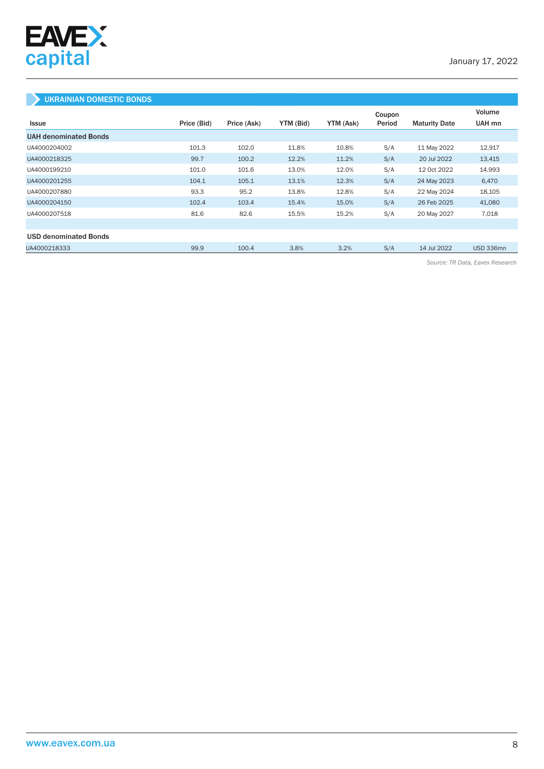

### UKRAINIAN DOMESTIC BONDS

|                              |             |             |           |           | Coupon |                      | Volume    |
|------------------------------|-------------|-------------|-----------|-----------|--------|----------------------|-----------|
| <b>Issue</b>                 | Price (Bid) | Price (Ask) | YTM (Bid) | YTM (Ask) | Period | <b>Maturity Date</b> | UAH mn    |
| <b>UAH denominated Bonds</b> |             |             |           |           |        |                      |           |
| UA4000204002                 | 101.3       | 102.0       | 11.8%     | 10.8%     | S/A    | 11 May 2022          | 12,917    |
| UA4000218325                 | 99.7        | 100.2       | 12.2%     | 11.2%     | S/A    | 20 Jul 2022          | 13,415    |
| UA4000199210                 | 101.0       | 101.6       | 13.0%     | 12.0%     | S/A    | 12 Oct 2022          | 14,993    |
| UA4000201255                 | 104.1       | 105.1       | 13.1%     | 12.3%     | S/A    | 24 May 2023          | 6,470     |
| UA4000207880                 | 93.3        | 95.2        | 13.8%     | 12.8%     | S/A    | 22 May 2024          | 18,105    |
| UA4000204150                 | 102.4       | 103.4       | 15.4%     | 15.0%     | S/A    | 26 Feb 2025          | 41,080    |
| UA4000207518                 | 81.6        | 82.6        | 15.5%     | 15.2%     | S/A    | 20 May 2027          | 7,018     |
|                              |             |             |           |           |        |                      |           |
| <b>USD denominated Bonds</b> |             |             |           |           |        |                      |           |
| UA4000218333                 | 99.9        | 100.4       | 3.8%      | 3.2%      | S/A    | 14 Jul 2022          | USD 336mn |

*Source: TR Data, Eavex Research*